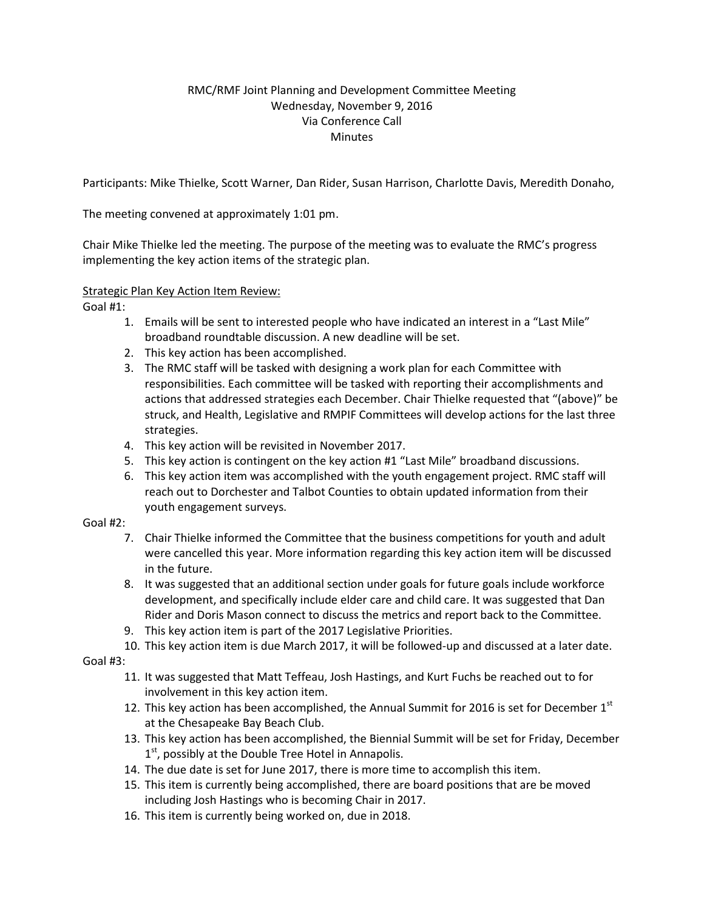## RMC/RMF Joint Planning and Development Committee Meeting Wednesday, November 9, 2016 Via Conference Call **Minutes**

Participants: Mike Thielke, Scott Warner, Dan Rider, Susan Harrison, Charlotte Davis, Meredith Donaho,

The meeting convened at approximately 1:01 pm.

Chair Mike Thielke led the meeting. The purpose of the meeting was to evaluate the RMC's progress implementing the key action items of the strategic plan.

## Strategic Plan Key Action Item Review:

Goal #1:

- 1. Emails will be sent to interested people who have indicated an interest in a "Last Mile" broadband roundtable discussion. A new deadline will be set.
- 2. This key action has been accomplished.
- 3. The RMC staff will be tasked with designing a work plan for each Committee with responsibilities. Each committee will be tasked with reporting their accomplishments and actions that addressed strategies each December. Chair Thielke requested that "(above)" be struck, and Health, Legislative and RMPIF Committees will develop actions for the last three strategies.
- 4. This key action will be revisited in November 2017.
- 5. This key action is contingent on the key action #1 "Last Mile" broadband discussions.
- 6. This key action item was accomplished with the youth engagement project. RMC staff will reach out to Dorchester and Talbot Counties to obtain updated information from their youth engagement surveys.

## Goal #2:

- 7. Chair Thielke informed the Committee that the business competitions for youth and adult were cancelled this year. More information regarding this key action item will be discussed in the future.
- 8. It was suggested that an additional section under goals for future goals include workforce development, and specifically include elder care and child care. It was suggested that Dan Rider and Doris Mason connect to discuss the metrics and report back to the Committee.
- 9. This key action item is part of the 2017 Legislative Priorities.
- 10. This key action item is due March 2017, it will be followed-up and discussed at a later date.

Goal #3:

- 11. It was suggested that Matt Teffeau, Josh Hastings, and Kurt Fuchs be reached out to for involvement in this key action item.
- 12. This key action has been accomplished, the Annual Summit for 2016 is set for December  $1<sup>st</sup>$ at the Chesapeake Bay Beach Club.
- 13. This key action has been accomplished, the Biennial Summit will be set for Friday, December 1<sup>st</sup>, possibly at the Double Tree Hotel in Annapolis.
- 14. The due date is set for June 2017, there is more time to accomplish this item.
- 15. This item is currently being accomplished, there are board positions that are be moved including Josh Hastings who is becoming Chair in 2017.
- 16. This item is currently being worked on, due in 2018.